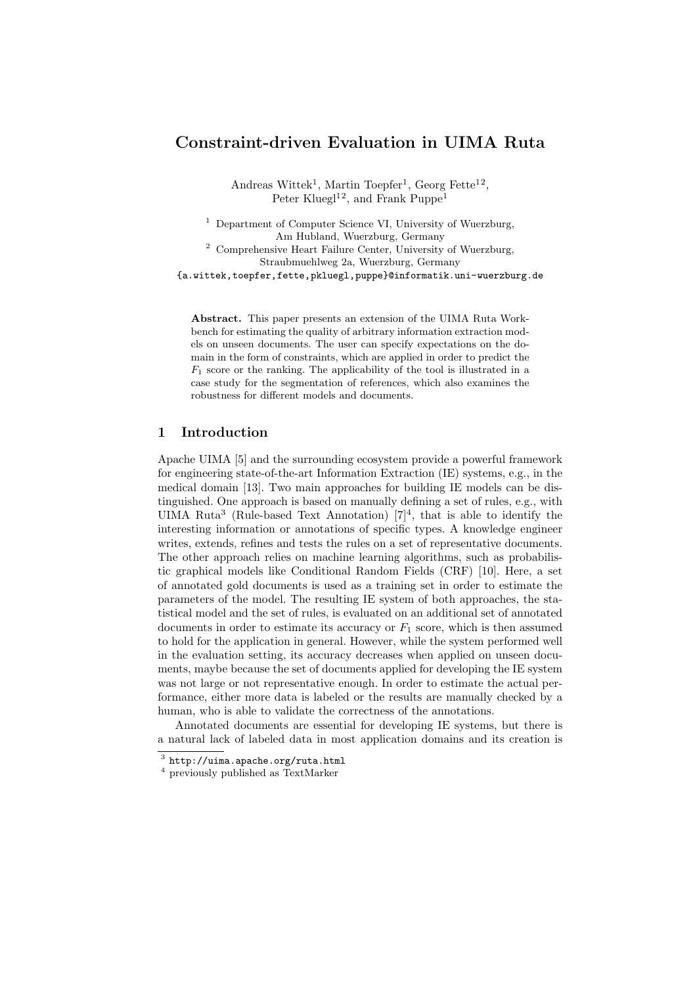# Constraint-driven Evaluation in UIMA Ruta

Andreas Wittek<sup>1</sup>, Martin Toepfer<sup>1</sup>, Georg Fette<sup>12</sup>, Peter Kluegl<sup>12</sup>, and Frank Puppe<sup>1</sup>

<sup>1</sup> Department of Computer Science VI, University of Wuerzburg, Am Hubland, Wuerzburg, Germany <sup>2</sup> Comprehensive Heart Failure Center, University of Wuerzburg, Straubmuehlweg 2a, Wuerzburg, Germany {a.wittek,toepfer,fette,pkluegl,puppe}@informatik.uni-wuerzburg.de

Abstract. This paper presents an extension of the UIMA Ruta Workbench for estimating the quality of arbitrary information extraction models on unseen documents. The user can specify expectations on the domain in the form of constraints, which are applied in order to predict the  $F_1$  score or the ranking. The applicability of the tool is illustrated in a case study for the segmentation of references, which also examines the robustness for different models and documents.

### 1 Introduction

Apache UIMA [5] and the surrounding ecosystem provide a powerful framework for engineering state-of-the-art Information Extraction (IE) systems, e.g., in the medical domain [13]. Two main approaches for building IE models can be distinguished. One approach is based on manually defining a set of rules, e.g., with UIMA Ruta<sup>3</sup> (Rule-based Text Annotation)  $[7]^4$ , that is able to identify the interesting information or annotations of specific types. A knowledge engineer writes, extends, refines and tests the rules on a set of representative documents. The other approach relies on machine learning algorithms, such as probabilistic graphical models like Conditional Random Fields (CRF) [10]. Here, a set of annotated gold documents is used as a training set in order to estimate the parameters of the model. The resulting IE system of both approaches, the statistical model and the set of rules, is evaluated on an additional set of annotated documents in order to estimate its accuracy or  $F_1$  score, which is then assumed to hold for the application in general. However, while the system performed well in the evaluation setting, its accuracy decreases when applied on unseen documents, maybe because the set of documents applied for developing the IE system was not large or not representative enough. In order to estimate the actual performance, either more data is labeled or the results are manually checked by a human, who is able to validate the correctness of the annotations.

Annotated documents are essential for developing IE systems, but there is a natural lack of labeled data in most application domains and its creation is

 $^3$  http://uima.apache.org/ruta.html

<sup>4</sup> previously published as TextMarker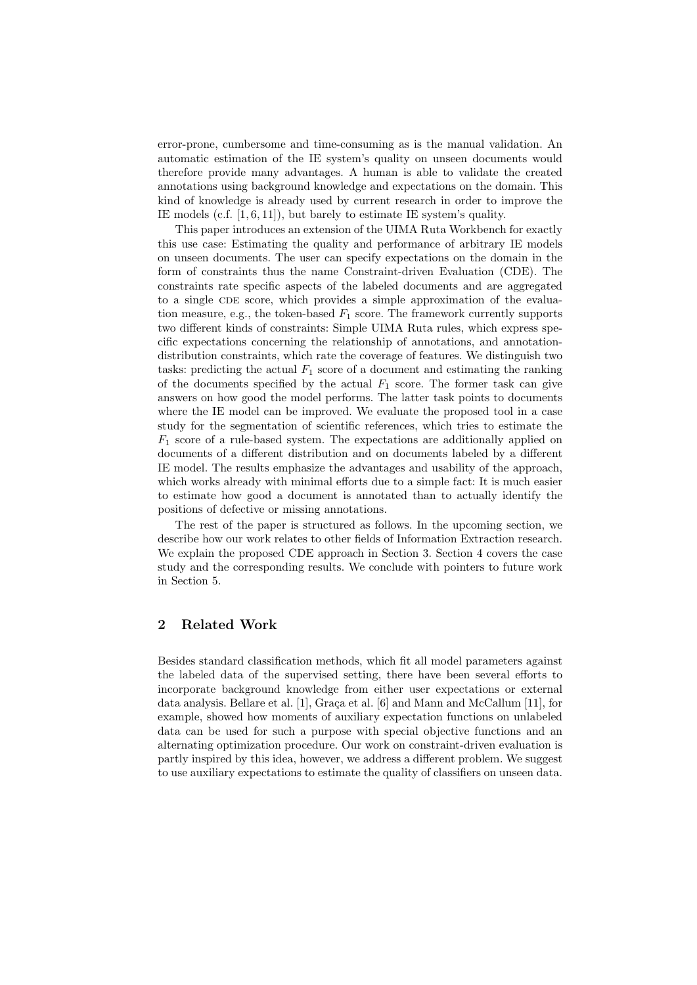error-prone, cumbersome and time-consuming as is the manual validation. An automatic estimation of the IE system's quality on unseen documents would therefore provide many advantages. A human is able to validate the created annotations using background knowledge and expectations on the domain. This kind of knowledge is already used by current research in order to improve the IE models (c.f. [1, 6, 11]), but barely to estimate IE system's quality.

This paper introduces an extension of the UIMA Ruta Workbench for exactly this use case: Estimating the quality and performance of arbitrary IE models on unseen documents. The user can specify expectations on the domain in the form of constraints thus the name Constraint-driven Evaluation (CDE). The constraints rate specific aspects of the labeled documents and are aggregated to a single CDE score, which provides a simple approximation of the evaluation measure, e.g., the token-based  $F_1$  score. The framework currently supports two different kinds of constraints: Simple UIMA Ruta rules, which express specific expectations concerning the relationship of annotations, and annotationdistribution constraints, which rate the coverage of features. We distinguish two tasks: predicting the actual  $F_1$  score of a document and estimating the ranking of the documents specified by the actual  $F_1$  score. The former task can give answers on how good the model performs. The latter task points to documents where the IE model can be improved. We evaluate the proposed tool in a case study for the segmentation of scientific references, which tries to estimate the  $F_1$  score of a rule-based system. The expectations are additionally applied on documents of a different distribution and on documents labeled by a different IE model. The results emphasize the advantages and usability of the approach, which works already with minimal efforts due to a simple fact: It is much easier to estimate how good a document is annotated than to actually identify the positions of defective or missing annotations.

The rest of the paper is structured as follows. In the upcoming section, we describe how our work relates to other fields of Information Extraction research. We explain the proposed CDE approach in Section 3. Section 4 covers the case study and the corresponding results. We conclude with pointers to future work in Section 5.

## 2 Related Work

Besides standard classification methods, which fit all model parameters against the labeled data of the supervised setting, there have been several efforts to incorporate background knowledge from either user expectations or external data analysis. Bellare et al. [1], Graça et al.  $[6]$  and Mann and McCallum [11], for example, showed how moments of auxiliary expectation functions on unlabeled data can be used for such a purpose with special objective functions and an alternating optimization procedure. Our work on constraint-driven evaluation is partly inspired by this idea, however, we address a different problem. We suggest to use auxiliary expectations to estimate the quality of classifiers on unseen data.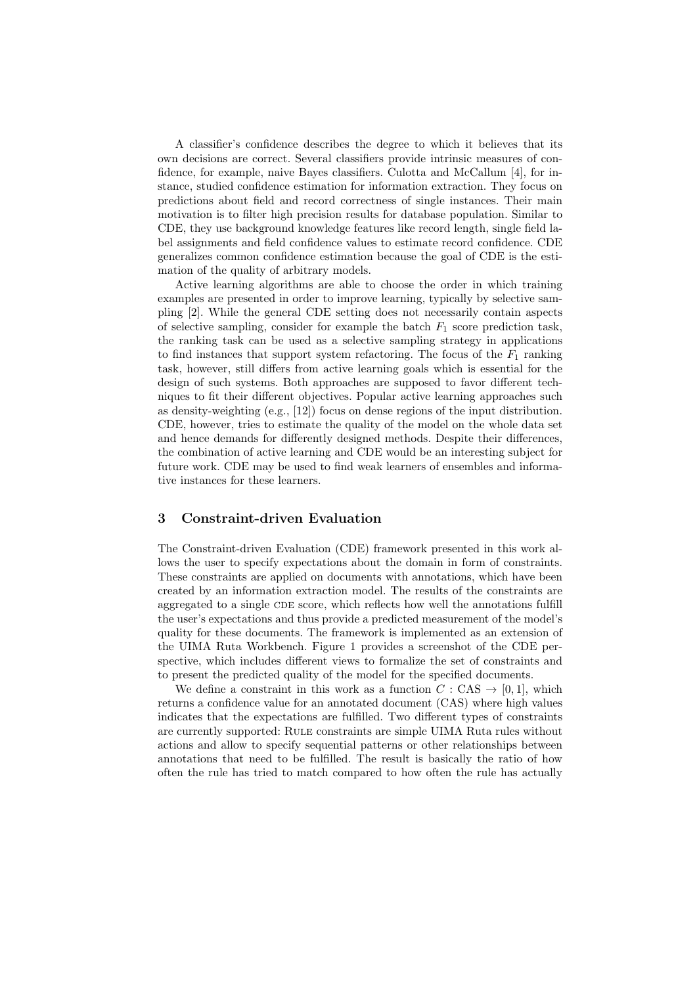A classifier's confidence describes the degree to which it believes that its own decisions are correct. Several classifiers provide intrinsic measures of confidence, for example, naive Bayes classifiers. Culotta and McCallum [4], for instance, studied confidence estimation for information extraction. They focus on predictions about field and record correctness of single instances. Their main motivation is to filter high precision results for database population. Similar to CDE, they use background knowledge features like record length, single field label assignments and field confidence values to estimate record confidence. CDE generalizes common confidence estimation because the goal of CDE is the estimation of the quality of arbitrary models.

Active learning algorithms are able to choose the order in which training examples are presented in order to improve learning, typically by selective sampling [2]. While the general CDE setting does not necessarily contain aspects of selective sampling, consider for example the batch  $F_1$  score prediction task, the ranking task can be used as a selective sampling strategy in applications to find instances that support system refactoring. The focus of the  $F_1$  ranking task, however, still differs from active learning goals which is essential for the design of such systems. Both approaches are supposed to favor different techniques to fit their different objectives. Popular active learning approaches such as density-weighting (e.g., [12]) focus on dense regions of the input distribution. CDE, however, tries to estimate the quality of the model on the whole data set and hence demands for differently designed methods. Despite their differences, the combination of active learning and CDE would be an interesting subject for future work. CDE may be used to find weak learners of ensembles and informative instances for these learners.

#### 3 Constraint-driven Evaluation

The Constraint-driven Evaluation (CDE) framework presented in this work allows the user to specify expectations about the domain in form of constraints. These constraints are applied on documents with annotations, which have been created by an information extraction model. The results of the constraints are aggregated to a single CDE score, which reflects how well the annotations fulfill the user's expectations and thus provide a predicted measurement of the model's quality for these documents. The framework is implemented as an extension of the UIMA Ruta Workbench. Figure 1 provides a screenshot of the CDE perspective, which includes different views to formalize the set of constraints and to present the predicted quality of the model for the specified documents.

We define a constraint in this work as a function  $C : CAS \rightarrow [0,1]$ , which returns a confidence value for an annotated document (CAS) where high values indicates that the expectations are fulfilled. Two different types of constraints are currently supported: Rule constraints are simple UIMA Ruta rules without actions and allow to specify sequential patterns or other relationships between annotations that need to be fulfilled. The result is basically the ratio of how often the rule has tried to match compared to how often the rule has actually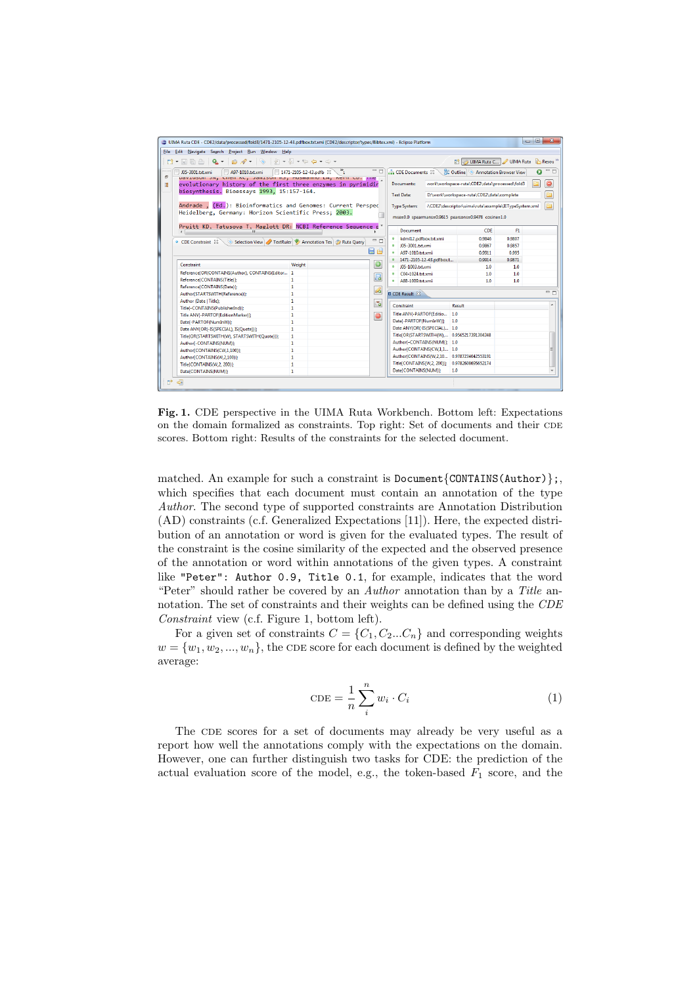| <b>00</b><br>$\mathbf{x}$<br>UIMA Ruta CDE - CDE2/data/processed/fold3/1471-2105-12-43.pdfbox.txt.xmi (CDE2/descriptor/types/Bibtex.xml) - Eclipse Platform |                                                                                                                                  |                                                                         |                                                     |                          |                                 |                               |                                                      |        |  |       |
|-------------------------------------------------------------------------------------------------------------------------------------------------------------|----------------------------------------------------------------------------------------------------------------------------------|-------------------------------------------------------------------------|-----------------------------------------------------|--------------------------|---------------------------------|-------------------------------|------------------------------------------------------|--------|--|-------|
|                                                                                                                                                             | File Edit Navigate Search Project Run Window Help                                                                                |                                                                         |                                                     |                          |                                 |                               |                                                      |        |  |       |
| UIMA Ruta C   UIMA Ruta   C. Resou <sup>22</sup>                                                                                                            |                                                                                                                                  |                                                                         |                                                     |                          |                                 |                               |                                                      |        |  |       |
| <br>Ð                                                                                                                                                       | 1471-2105-12-43.pdfb $\%$<br>J05-3001.txt.xmi<br>A97-1010.txt.xmi<br>pavidson on, chen NC, Jamison NS, musmanno LA, Nern CD, nie | <b>BE Outline Annotation Browser View</b><br><b>CDE Documents &amp;</b> |                                                     |                          |                                 | $\Omega$                      | $=$ $\Box$                                           |        |  |       |
| 懎                                                                                                                                                           | evolutionary history of the first three enzymes in pyrimidir                                                                     | work\workspace-ruta\CDE2\data\processed\fold3<br>Documents:             |                                                     |                          | $\bullet$                       |                               |                                                      |        |  |       |
|                                                                                                                                                             | biosynthesis. Bioessays 1993, 15:157-164.                                                                                        |                                                                         |                                                     |                          |                                 |                               |                                                      |        |  |       |
|                                                                                                                                                             |                                                                                                                                  | <b>Test Data:</b><br>D:\work\workspace-ruta\CDE2\data\complete          |                                                     |                          |                                 |                               | E                                                    |        |  |       |
|                                                                                                                                                             | Andrade , (Ed.): Bioinformatics and Genomes: Current Perspec<br>Heidelberg, Germany: Horizon Scientific Press; 2003.             |                                                                         |                                                     |                          |                                 |                               | /\CDE2\descriptor\uima\ruta\example\IETypeSystem.xml |        |  | 匵     |
|                                                                                                                                                             |                                                                                                                                  |                                                                         |                                                     |                          |                                 |                               |                                                      |        |  |       |
|                                                                                                                                                             |                                                                                                                                  |                                                                         | mse=0.0 spearmans=0.9615 pearsons=0.9478 cosine=1.0 |                          |                                 |                               |                                                      |        |  |       |
|                                                                                                                                                             | Pruitt KD. Tatusova T. Maglott DR: NCBI Reference Sequence r <sup>*</sup><br>ш                                                   |                                                                         | <b>Document</b>                                     |                          | <b>CDE</b>                      | F1                            |                                                      |        |  |       |
|                                                                                                                                                             |                                                                                                                                  |                                                                         |                                                     |                          | kdml12.pdfbox.txt.xmi           |                               | 0.9846                                               | 0.9807 |  |       |
|                                                                                                                                                             | Selection View / TextRuler > Annotation Tes   Ruta Query<br>● CDE Constraint 23                                                  |                                                                         |                                                     | - n                      | J05-3001.txt.xmi                |                               | 0.9867                                               | 0.9857 |  |       |
|                                                                                                                                                             |                                                                                                                                  |                                                                         |                                                     | <b>A</b> A               | A97-1010.txt.xmi<br>$\circ$     |                               | 0.9911                                               | 0.995  |  |       |
|                                                                                                                                                             |                                                                                                                                  |                                                                         |                                                     |                          | $\circ$                         | 1471-2105-12-43.pdfbox.t      | 0.9914                                               | 0.9871 |  |       |
|                                                                                                                                                             | Constraint                                                                                                                       | Weight                                                                  |                                                     | $\bullet$                | $\bullet$<br>J05-1003.txt.xmi   |                               | 1.0 <sub>1</sub>                                     | 1.0    |  |       |
|                                                                                                                                                             | Reference(OR(CONTAINS(Author), CONTAINS(Editor 1                                                                                 |                                                                         |                                                     |                          | $C04-1024.txt.xml$<br>$\bullet$ |                               | 1.0                                                  | 1.0    |  |       |
|                                                                                                                                                             | Reference(CONTAINS(Title)};                                                                                                      | 1                                                                       |                                                     | $\Box$                   | · A88-1009.txt.xmi              |                               | 1.0                                                  | 1.0    |  |       |
|                                                                                                                                                             | Reference(CONTAINS(Date)};                                                                                                       | 1                                                                       |                                                     | $\overline{\mathscr{A}}$ |                                 |                               |                                                      |        |  |       |
|                                                                                                                                                             | Author(STARTSWITH(Reference)};<br>$\mathbf{1}$<br>$\mathbf{1}$<br>Author (Date   Title):                                         |                                                                         |                                                     |                          | <b>El CDE Result 83</b>         |                               |                                                      |        |  | $= 5$ |
|                                                                                                                                                             |                                                                                                                                  |                                                                         |                                                     | $\overline{G}$           |                                 |                               |                                                      |        |  |       |
|                                                                                                                                                             | Titlef-CONTAINS(PublisherInd)):                                                                                                  | 1.                                                                      |                                                     |                          | Constraint                      |                               | Result                                               |        |  |       |
|                                                                                                                                                             | Title ANY{-PARTOF(EditionMarker)};                                                                                               | 1                                                                       |                                                     | $\bullet$                | Title ANY{-PARTOF(Editio        | 1.0                           |                                                      |        |  |       |
|                                                                                                                                                             | Datel-PARTOF(NumInW)};                                                                                                           | 1.                                                                      |                                                     |                          | Date{-PARTOF(NumInW)}           | 1.0                           |                                                      |        |  |       |
|                                                                                                                                                             | Date ANY{OR(-IS(SPECIAL), IS(Quote))};                                                                                           | 1.                                                                      |                                                     |                          |                                 | Date ANY(OR(-IS(SPECIAL) 1.0  |                                                      |        |  |       |
|                                                                                                                                                             | Title(OR(STARTSWITH(W), STARTSWITH(Quote)));                                                                                     | 1                                                                       |                                                     |                          |                                 |                               | Title(OR(STARTSWITH(W) 0.9565217391304348            |        |  |       |
|                                                                                                                                                             | Author{-CONTAINS(NUM)}                                                                                                           | 1                                                                       |                                                     |                          |                                 | Authorf-CONTAINS(NUM): 1.0    |                                                      |        |  |       |
|                                                                                                                                                             | Author{CONTAINS(CW,1,100)};                                                                                                      | $\mathbf{1}$                                                            |                                                     |                          |                                 | Author CONTAINS (CW.1.1., 1.0 |                                                      |        |  |       |
|                                                                                                                                                             | Author{CONTAINS(W,2,100)};                                                                                                       | 1                                                                       |                                                     |                          |                                 |                               | Author(CONTAINS(W,2,10 0.9787234042553191            |        |  |       |
|                                                                                                                                                             | Title(CONTAINS(W.2, 200)};                                                                                                       | $\mathbf{1}$                                                            |                                                     |                          | Title{CONTAINS(W,2, 200)};      |                               | 0.9782608695652174                                   |        |  |       |
|                                                                                                                                                             | Date(CONTAINS(NUM)}                                                                                                              | 1.                                                                      |                                                     |                          | Date(CONTAINS(NUM));            | 1.0                           |                                                      |        |  |       |
| n°                                                                                                                                                          | $\leftarrow$                                                                                                                     |                                                                         |                                                     |                          |                                 |                               |                                                      |        |  |       |

Fig. 1. CDE perspective in the UIMA Ruta Workbench. Bottom left: Expectations on the domain formalized as constraints. Top right: Set of documents and their CDE scores. Bottom right: Results of the constraints for the selected document.

matched. An example for such a constraint is  $Document{CONTAINS(Author)}$ ; which specifies that each document must contain an annotation of the type Author. The second type of supported constraints are Annotation Distribution (AD) constraints (c.f. Generalized Expectations [11]). Here, the expected distribution of an annotation or word is given for the evaluated types. The result of the constraint is the cosine similarity of the expected and the observed presence of the annotation or word within annotations of the given types. A constraint like "Peter": Author 0.9, Title 0.1, for example, indicates that the word "Peter" should rather be covered by an  $Author$  annotation than by a Title annotation. The set of constraints and their weights can be defined using the CDE Constraint view (c.f. Figure 1, bottom left).

For a given set of constraints  $C = \{C_1, C_2...C_n\}$  and corresponding weights  $w = \{w_1, w_2, ..., w_n\}$ , the CDE score for each document is defined by the weighted average:

$$
CDE = \frac{1}{n} \sum_{i}^{n} w_i \cdot C_i \tag{1}
$$

The CDE scores for a set of documents may already be very useful as a report how well the annotations comply with the expectations on the domain. However, one can further distinguish two tasks for CDE: the prediction of the actual evaluation score of the model, e.g., the token-based  $F_1$  score, and the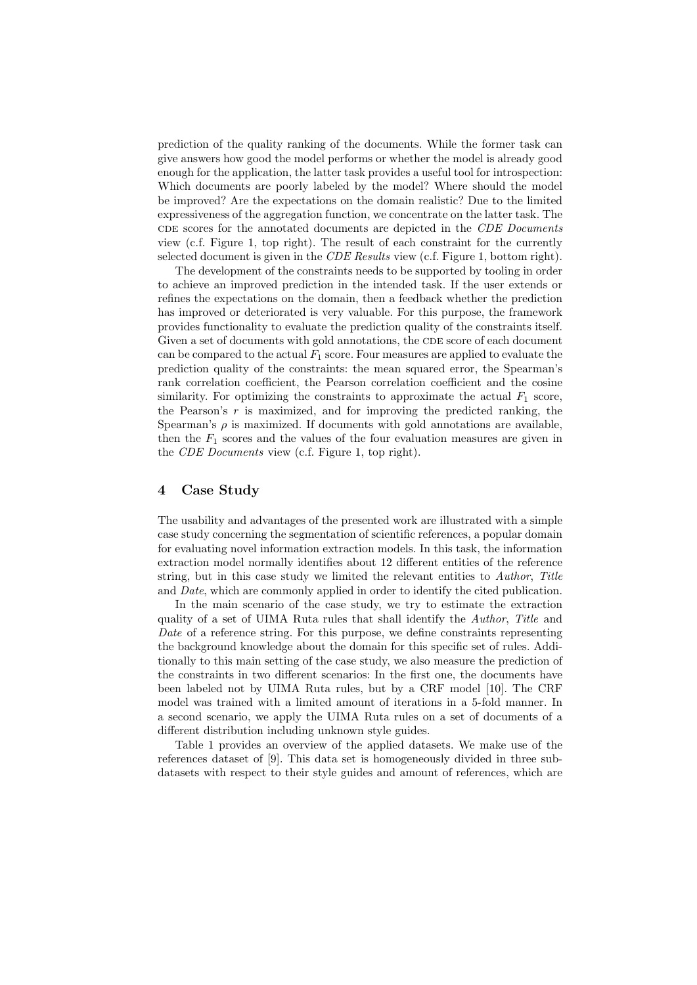prediction of the quality ranking of the documents. While the former task can give answers how good the model performs or whether the model is already good enough for the application, the latter task provides a useful tool for introspection: Which documents are poorly labeled by the model? Where should the model be improved? Are the expectations on the domain realistic? Due to the limited expressiveness of the aggregation function, we concentrate on the latter task. The CDE scores for the annotated documents are depicted in the CDE Documents view (c.f. Figure 1, top right). The result of each constraint for the currently selected document is given in the *CDE Results* view (c.f. Figure 1, bottom right).

The development of the constraints needs to be supported by tooling in order to achieve an improved prediction in the intended task. If the user extends or refines the expectations on the domain, then a feedback whether the prediction has improved or deteriorated is very valuable. For this purpose, the framework provides functionality to evaluate the prediction quality of the constraints itself. Given a set of documents with gold annotations, the CDE score of each document can be compared to the actual  $F_1$  score. Four measures are applied to evaluate the prediction quality of the constraints: the mean squared error, the Spearman's rank correlation coefficient, the Pearson correlation coefficient and the cosine similarity. For optimizing the constraints to approximate the actual  $F_1$  score, the Pearson's  $r$  is maximized, and for improving the predicted ranking, the Spearman's  $\rho$  is maximized. If documents with gold annotations are available, then the  $F_1$  scores and the values of the four evaluation measures are given in the CDE Documents view (c.f. Figure 1, top right).

#### 4 Case Study

The usability and advantages of the presented work are illustrated with a simple case study concerning the segmentation of scientific references, a popular domain for evaluating novel information extraction models. In this task, the information extraction model normally identifies about 12 different entities of the reference string, but in this case study we limited the relevant entities to *Author*, Title and Date, which are commonly applied in order to identify the cited publication.

In the main scenario of the case study, we try to estimate the extraction quality of a set of UIMA Ruta rules that shall identify the Author, Title and Date of a reference string. For this purpose, we define constraints representing the background knowledge about the domain for this specific set of rules. Additionally to this main setting of the case study, we also measure the prediction of the constraints in two different scenarios: In the first one, the documents have been labeled not by UIMA Ruta rules, but by a CRF model [10]. The CRF model was trained with a limited amount of iterations in a 5-fold manner. In a second scenario, we apply the UIMA Ruta rules on a set of documents of a different distribution including unknown style guides.

Table 1 provides an overview of the applied datasets. We make use of the references dataset of [9]. This data set is homogeneously divided in three subdatasets with respect to their style guides and amount of references, which are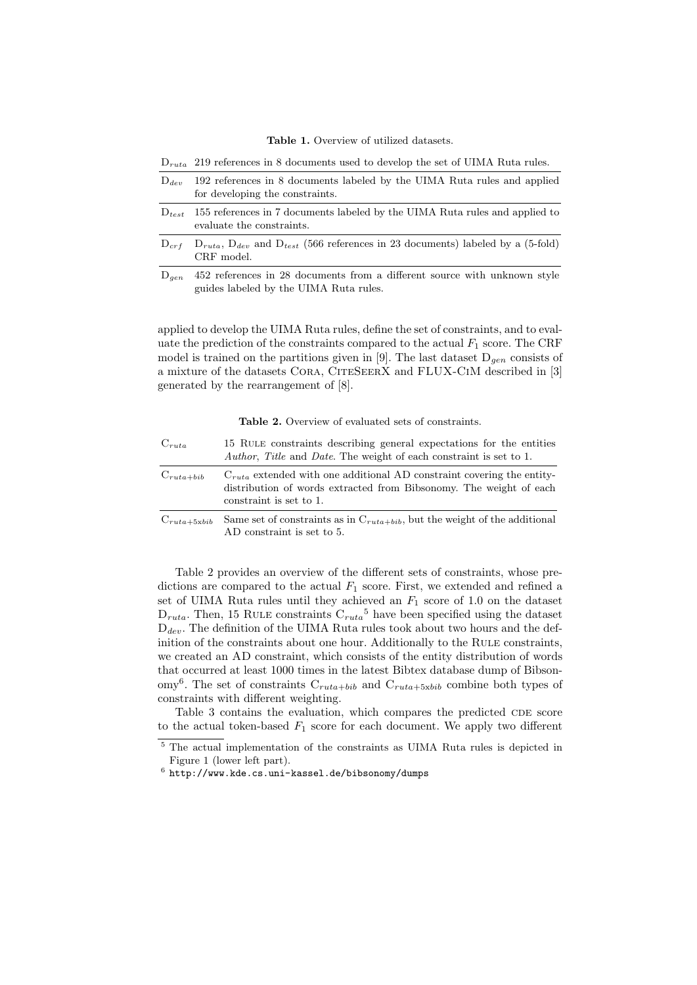Table 1. Overview of utilized datasets.

 $D_{\text{ruta}}$  219 references in 8 documents used to develop the set of UIMA Ruta rules.

- $D_{dev}$  192 references in 8 documents labeled by the UIMA Ruta rules and applied for developing the constraints.
- $D_{test}$  155 references in 7 documents labeled by the UIMA Ruta rules and applied to evaluate the constraints.
- $D_{crf}$   $D_{ruta}$ ,  $D_{dev}$  and  $D_{test}$  (566 references in 23 documents) labeled by a (5-fold) CRF model.
- $D_{gen}$  452 references in 28 documents from a different source with unknown style guides labeled by the UIMA Ruta rules.

applied to develop the UIMA Ruta rules, define the set of constraints, and to evaluate the prediction of the constraints compared to the actual  $F_1$  score. The CRF model is trained on the partitions given in [9]. The last dataset  $D_{gen}$  consists of a mixture of the datasets CORA, CITESEERX and FLUX-CIM described in [3] generated by the rearrangement of [8].

Table 2. Overview of evaluated sets of constraints.

| $C_{ruta}$       | 15 RULE constraints describing general expectations for the entities<br>Author, Title and Date. The weight of each constraint is set to 1.                                  |
|------------------|-----------------------------------------------------------------------------------------------------------------------------------------------------------------------------|
| $C_{ruta+bib}$   | $C_{ruta}$ extended with one additional AD constraint covering the entity-<br>distribution of words extracted from Bibsonomy. The weight of each<br>constraint is set to 1. |
| $C_{ruta+5xbib}$ | Same set of constraints as in $C_{ruta+bib}$ , but the weight of the additional<br>AD constraint is set to 5.                                                               |

Table 2 provides an overview of the different sets of constraints, whose predictions are compared to the actual  $F_1$  score. First, we extended and refined a set of UIMA Ruta rules until they achieved an  $F_1$  score of 1.0 on the dataset  $D_{ruta}$ . Then, 15 RULE constraints  $C_{ruta}^5$  have been specified using the dataset  $D_{dev}$ . The definition of the UIMA Ruta rules took about two hours and the definition of the constraints about one hour. Additionally to the RULE constraints, we created an AD constraint, which consists of the entity distribution of words that occurred at least 1000 times in the latest Bibtex database dump of Bibson- $\text{omy}^6$ . The set of constraints  $C_{ruta + bib}$  and  $C_{ruta + 5xbib}$  combine both types of constraints with different weighting.

Table 3 contains the evaluation, which compares the predicted CDE score to the actual token-based  $F_1$  score for each document. We apply two different

<sup>5</sup> The actual implementation of the constraints as UIMA Ruta rules is depicted in Figure 1 (lower left part).

 $^6$  http://www.kde.cs.uni-kassel.de/bibsonomy/dumps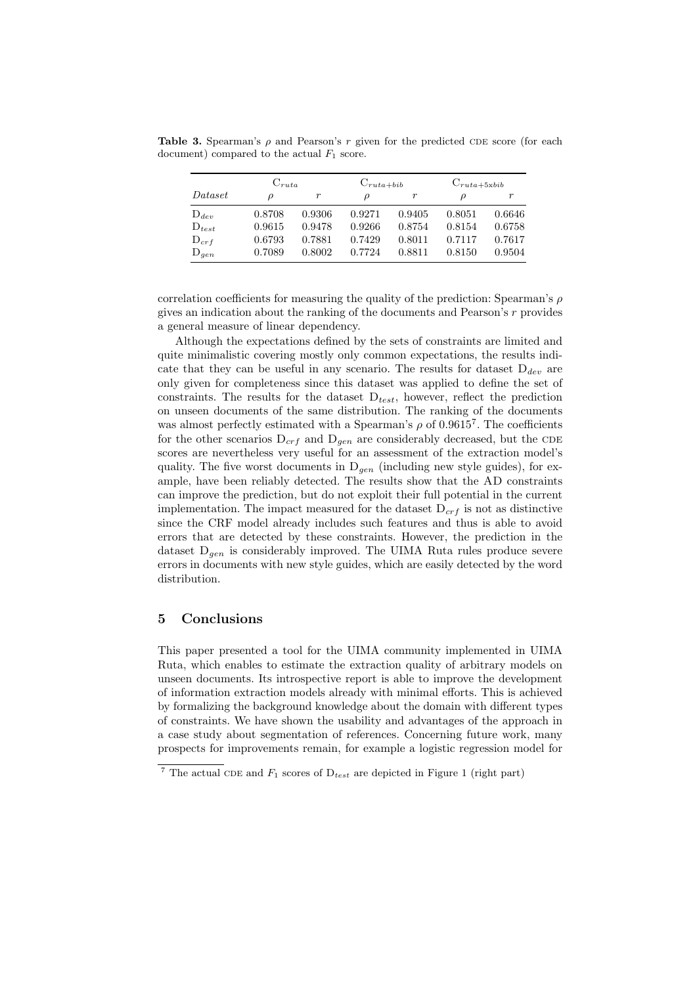**Table 3.** Spearman's  $\rho$  and Pearson's r given for the predicted CDE score (for each document) compared to the actual  $F_1$  score.

|               | $C_{ruta}$ |        | $C_{ruta+bib}$ |        | $C_{ruta+5xbib}$ |        |  |
|---------------|------------|--------|----------------|--------|------------------|--------|--|
| $\it Dataset$ | Ω          | r      | D              | r      | ρ                |        |  |
| $D_{dev}$     | 0.8708     | 0.9306 | 0.9271         | 0.9405 | 0.8051           | 0.6646 |  |
| $D_{test}$    | 0.9615     | 0.9478 | 0.9266         | 0.8754 | 0.8154           | 0.6758 |  |
| $D_{crf}$     | 0.6793     | 0.7881 | 0.7429         | 0.8011 | 0.7117           | 0.7617 |  |
| $D_{gen}$     | 0.7089     | 0.8002 | 0.7724         | 0.8811 | 0.8150           | 0.9504 |  |

correlation coefficients for measuring the quality of the prediction: Spearman's  $\rho$ gives an indication about the ranking of the documents and Pearson's r provides a general measure of linear dependency.

Although the expectations defined by the sets of constraints are limited and quite minimalistic covering mostly only common expectations, the results indicate that they can be useful in any scenario. The results for dataset  $D_{dev}$  are only given for completeness since this dataset was applied to define the set of constraints. The results for the dataset  $D_{test}$ , however, reflect the prediction on unseen documents of the same distribution. The ranking of the documents was almost perfectly estimated with a Spearman's  $\rho$  of 0.9615<sup>7</sup>. The coefficients for the other scenarios  $D_{crf}$  and  $D_{gen}$  are considerably decreased, but the CDE scores are nevertheless very useful for an assessment of the extraction model's quality. The five worst documents in  $D_{gen}$  (including new style guides), for example, have been reliably detected. The results show that the AD constraints can improve the prediction, but do not exploit their full potential in the current implementation. The impact measured for the dataset  $D_{crf}$  is not as distinctive since the CRF model already includes such features and thus is able to avoid errors that are detected by these constraints. However, the prediction in the dataset  $D_{gen}$  is considerably improved. The UIMA Ruta rules produce severe errors in documents with new style guides, which are easily detected by the word distribution.

#### 5 Conclusions

This paper presented a tool for the UIMA community implemented in UIMA Ruta, which enables to estimate the extraction quality of arbitrary models on unseen documents. Its introspective report is able to improve the development of information extraction models already with minimal efforts. This is achieved by formalizing the background knowledge about the domain with different types of constraints. We have shown the usability and advantages of the approach in a case study about segmentation of references. Concerning future work, many prospects for improvements remain, for example a logistic regression model for

<sup>&</sup>lt;sup>7</sup> The actual CDE and  $F_1$  scores of  $D_{test}$  are depicted in Figure 1 (right part)